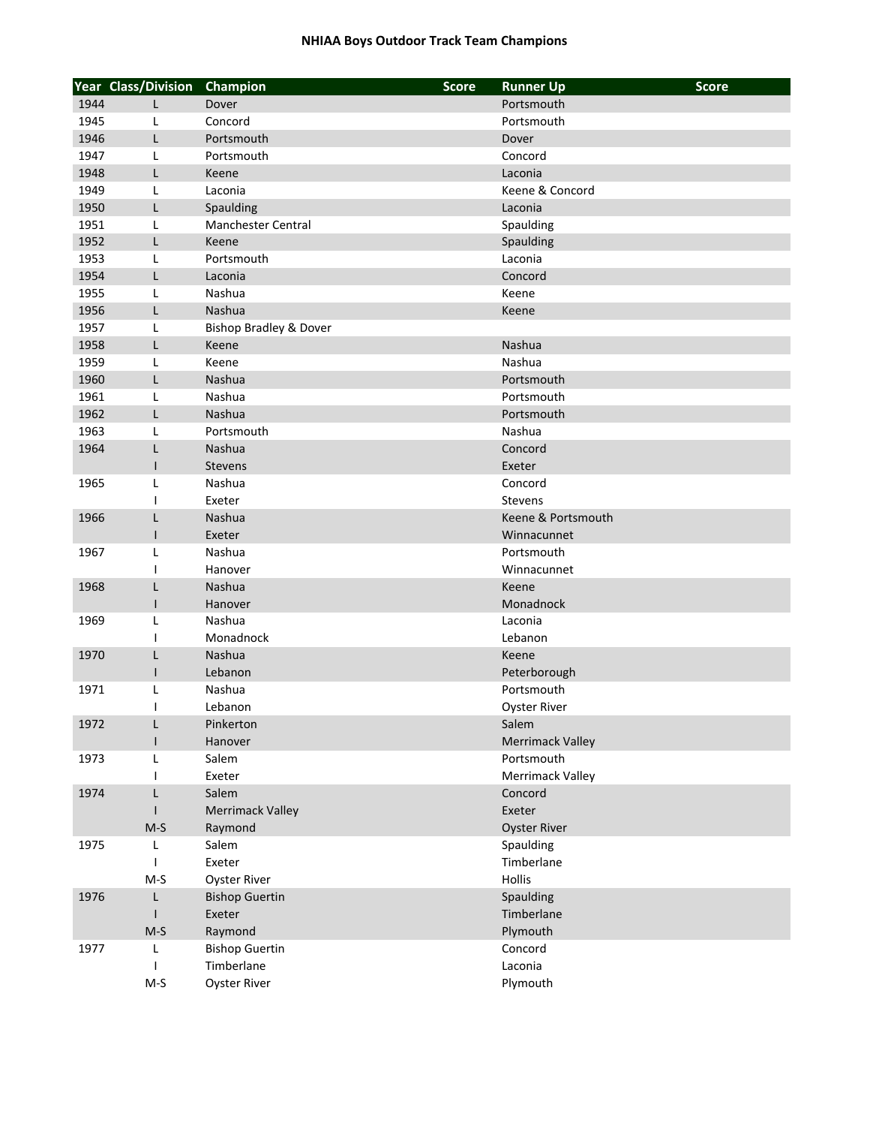|      | <b>Year Class/Division</b> | Champion                          | <b>Score</b> | <b>Runner Up</b>        | <b>Score</b> |
|------|----------------------------|-----------------------------------|--------------|-------------------------|--------------|
| 1944 | L                          | Dover                             |              | Portsmouth              |              |
| 1945 | L                          | Concord                           |              | Portsmouth              |              |
| 1946 | L                          | Portsmouth                        |              | Dover                   |              |
| 1947 | L                          | Portsmouth                        |              | Concord                 |              |
| 1948 | L                          | Keene                             |              | Laconia                 |              |
| 1949 | L                          | Laconia                           |              | Keene & Concord         |              |
| 1950 | L                          | Spaulding                         |              | Laconia                 |              |
| 1951 | L                          | Manchester Central                |              | Spaulding               |              |
| 1952 | L                          | Keene                             |              | Spaulding               |              |
| 1953 | L                          | Portsmouth                        |              | Laconia                 |              |
| 1954 | L                          | Laconia                           |              | Concord                 |              |
| 1955 | L                          | Nashua                            |              | Keene                   |              |
| 1956 | L                          | Nashua                            |              | Keene                   |              |
| 1957 | Г                          | <b>Bishop Bradley &amp; Dover</b> |              |                         |              |
| 1958 | L                          | Keene                             |              | Nashua                  |              |
| 1959 | Г                          | Keene                             |              | Nashua                  |              |
| 1960 | Г                          | Nashua                            |              | Portsmouth              |              |
| 1961 | Г                          | Nashua                            |              | Portsmouth              |              |
| 1962 | Г                          | Nashua                            |              | Portsmouth              |              |
| 1963 | L                          | Portsmouth                        |              | Nashua                  |              |
| 1964 | L                          | <b>Nashua</b>                     |              | Concord                 |              |
|      | $\mathsf{l}$               | <b>Stevens</b>                    |              | Exeter                  |              |
| 1965 | L                          | Nashua                            |              | Concord                 |              |
|      | J.                         | Exeter                            |              | <b>Stevens</b>          |              |
| 1966 | L                          | Nashua                            |              | Keene & Portsmouth      |              |
|      | $\mathsf{I}$               | Exeter                            |              | Winnacunnet             |              |
| 1967 | Г                          | Nashua                            |              | Portsmouth              |              |
|      | 1                          | Hanover                           |              | Winnacunnet             |              |
| 1968 | L                          | Nashua                            |              | Keene                   |              |
|      | $\mathsf{I}$               | Hanover                           |              | Monadnock               |              |
| 1969 | L                          | Nashua                            |              | Laconia                 |              |
|      | 1                          | Monadnock                         |              | Lebanon                 |              |
| 1970 | L                          | Nashua                            |              | Keene                   |              |
|      | ı                          | Lebanon                           |              | Peterborough            |              |
| 1971 | L                          | Nashua                            |              | Portsmouth              |              |
|      | I                          | Lebanon                           |              | <b>Oyster River</b>     |              |
| 1972 | Г                          | Pinkerton                         |              | Salem                   |              |
|      | ı                          | Hanover                           |              | <b>Merrimack Valley</b> |              |
| 1973 | Г                          | Salem                             |              | Portsmouth              |              |
|      |                            | Exeter                            |              | Merrimack Valley        |              |
| 1974 | L                          | Salem                             |              | Concord                 |              |
|      |                            | <b>Merrimack Valley</b>           |              | Exeter                  |              |
|      | $M-S$                      | Raymond                           |              | <b>Oyster River</b>     |              |
| 1975 | L                          | Salem                             |              | Spaulding               |              |
|      | <b>I</b>                   | Exeter                            |              | Timberlane              |              |
|      | $M-S$                      | <b>Oyster River</b>               |              | Hollis                  |              |
| 1976 | L                          | <b>Bishop Guertin</b>             |              | Spaulding               |              |
|      | ı                          | Exeter                            |              | Timberlane              |              |
|      | $M-S$                      | Raymond                           |              | Plymouth                |              |
| 1977 | L                          | <b>Bishop Guertin</b>             |              | Concord                 |              |
|      | 1                          | Timberlane                        |              | Laconia                 |              |
|      | $M-S$                      | <b>Oyster River</b>               |              | Plymouth                |              |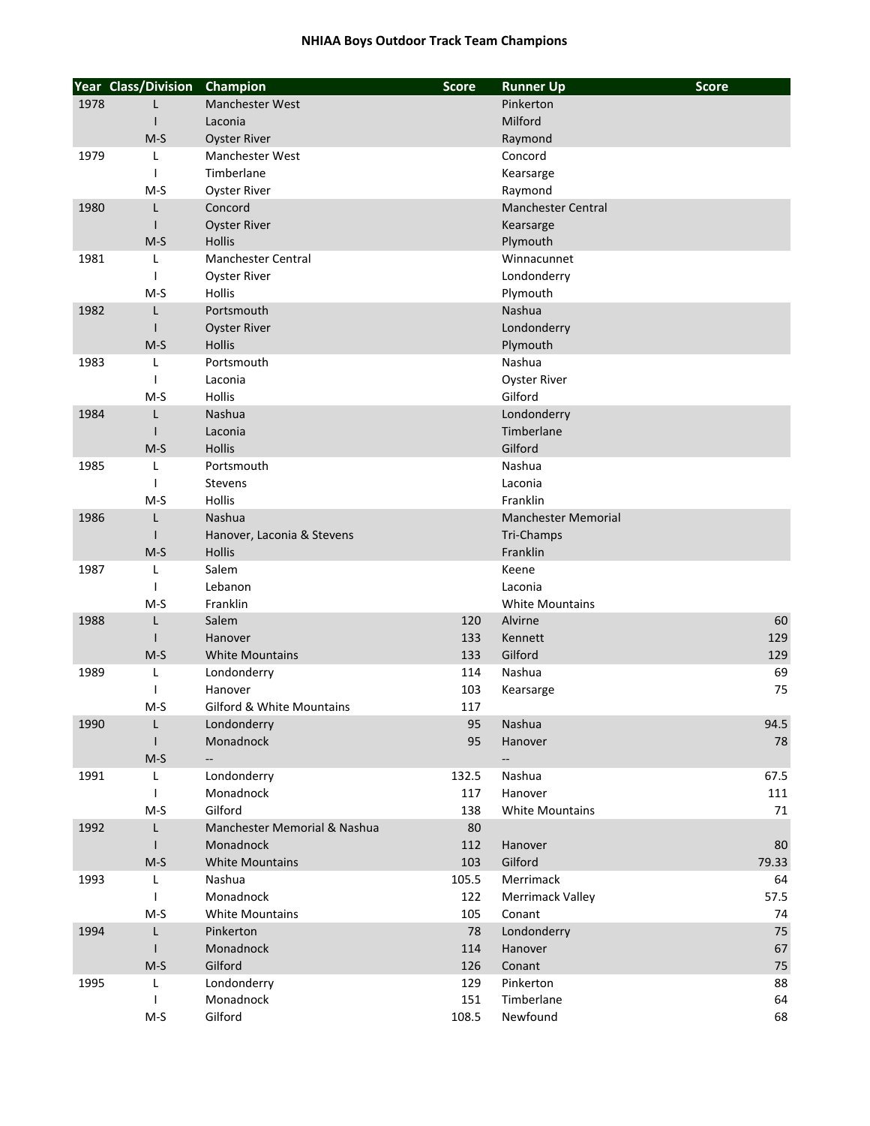|      | <b>Year Class/Division</b> | Champion                             | <b>Score</b> | <b>Runner Up</b>           | <b>Score</b> |
|------|----------------------------|--------------------------------------|--------------|----------------------------|--------------|
| 1978 | L                          | <b>Manchester West</b>               |              | Pinkerton                  |              |
|      | $\mathsf{I}$               | Laconia                              |              | Milford                    |              |
|      | $M-S$                      | <b>Oyster River</b>                  |              | Raymond                    |              |
| 1979 | L                          | <b>Manchester West</b>               |              | Concord                    |              |
|      | J.                         | Timberlane                           |              | Kearsarge                  |              |
|      | M-S                        | <b>Oyster River</b>                  |              | Raymond                    |              |
| 1980 | L                          | Concord                              |              | Manchester Central         |              |
|      |                            | <b>Oyster River</b>                  |              | Kearsarge                  |              |
|      | $M-S$                      | <b>Hollis</b>                        |              | Plymouth                   |              |
| 1981 | L                          | Manchester Central                   |              | Winnacunnet                |              |
|      |                            | <b>Oyster River</b>                  |              | Londonderry                |              |
|      | $M-S$                      | Hollis                               |              | Plymouth                   |              |
| 1982 | $\mathsf{L}$               | Portsmouth                           |              | Nashua                     |              |
|      |                            | <b>Oyster River</b>                  |              | Londonderry                |              |
|      | $M-S$                      | <b>Hollis</b>                        |              | Plymouth                   |              |
| 1983 | L                          | Portsmouth                           |              | Nashua                     |              |
|      |                            | Laconia                              |              | <b>Oyster River</b>        |              |
|      | $M-S$                      | <b>Hollis</b>                        |              | Gilford                    |              |
| 1984 | $\mathsf{L}$               | Nashua                               |              | Londonderry                |              |
|      |                            | Laconia                              |              | Timberlane                 |              |
|      | $M-S$                      | Hollis                               |              | Gilford                    |              |
| 1985 | L                          | Portsmouth                           |              | Nashua                     |              |
|      |                            | Stevens                              |              | Laconia                    |              |
|      | $M-S$                      | Hollis                               |              | Franklin                   |              |
| 1986 | L                          | Nashua                               |              | <b>Manchester Memorial</b> |              |
|      |                            | Hanover, Laconia & Stevens           |              | Tri-Champs                 |              |
|      | $M-S$                      | Hollis                               |              | Franklin                   |              |
| 1987 | L                          | Salem                                |              | Keene                      |              |
|      | J.                         | Lebanon                              |              | Laconia                    |              |
|      | $M-S$                      | Franklin                             |              | <b>White Mountains</b>     |              |
| 1988 | L                          | Salem                                | 120          | Alvirne                    | 60           |
|      | $\mathbf{I}$               | Hanover                              | 133          | Kennett                    | 129          |
|      | $M-S$                      | <b>White Mountains</b>               | 133          | Gilford                    | 129          |
| 1989 | L                          | Londonderry                          | 114          | Nashua                     | 69           |
|      |                            | Hanover                              | 103          | Kearsarge                  | 75           |
|      | M-S                        | <b>Gilford &amp; White Mountains</b> | 117          |                            |              |
| 1990 | L                          | Londonderry                          | 95           | Nashua                     | 94.5         |
|      | $\mathbf{I}$               | Monadnock                            | 95           | Hanover                    | 78           |
|      | $M-S$                      |                                      |              |                            |              |
| 1991 | L                          | Londonderry                          | 132.5        | Nashua                     | 67.5         |
|      | $\mathbf{I}$               | Monadnock                            | 117          | Hanover                    | 111          |
|      | $M-S$                      | Gilford                              | 138          | <b>White Mountains</b>     | 71           |
| 1992 | $\mathsf{L}$               | Manchester Memorial & Nashua         | 80           |                            |              |
|      | $\perp$                    | Monadnock                            | 112          | Hanover                    | 80           |
|      | $M-S$                      | <b>White Mountains</b>               | 103          | Gilford                    | 79.33        |
| 1993 | L                          | Nashua                               | 105.5        | Merrimack                  | 64           |
|      |                            | Monadnock                            | 122          | Merrimack Valley           | 57.5         |
|      | $M-S$                      | <b>White Mountains</b>               | 105          | Conant                     | 74           |
| 1994 | L                          | Pinkerton                            | 78           | Londonderry                | 75           |
|      |                            | Monadnock                            | 114          | Hanover                    | 67           |
|      | $M-S$                      | Gilford                              | 126          | Conant                     | 75           |
| 1995 | L                          | Londonderry                          | 129          | Pinkerton                  | 88           |
|      |                            | Monadnock                            | 151          | Timberlane                 | 64           |
|      | $M-S$                      | Gilford                              | 108.5        | Newfound                   | 68           |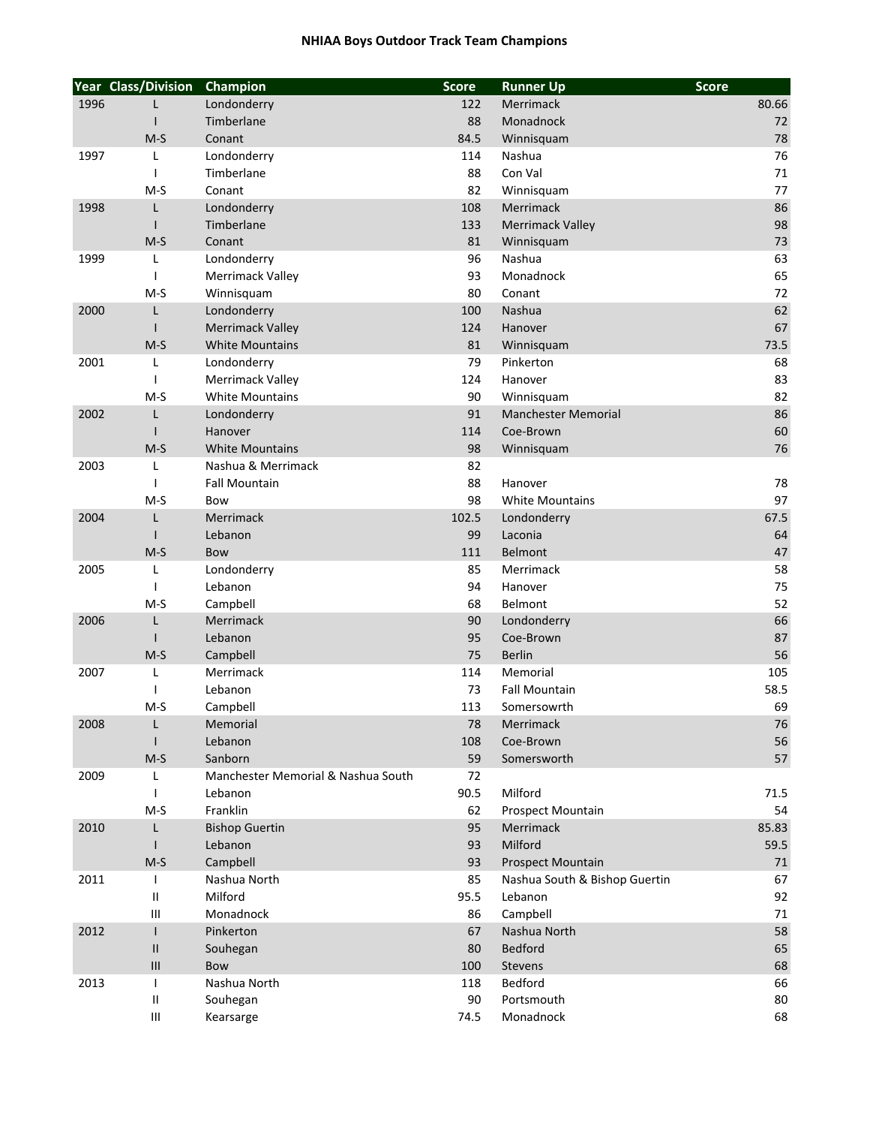|      | Year Class/Division      | Champion                           | <b>Score</b> | <b>Runner Up</b>                         | <b>Score</b> |
|------|--------------------------|------------------------------------|--------------|------------------------------------------|--------------|
| 1996 | L                        | Londonderry                        | 122          | Merrimack                                | 80.66        |
|      |                          | Timberlane                         | 88           | Monadnock                                | 72           |
|      | $M-S$                    | Conant                             | 84.5         | Winnisquam                               | 78           |
| 1997 | L                        | Londonderry                        | 114          | Nashua                                   | 76           |
|      | -1                       | Timberlane                         | 88           | Con Val                                  | 71           |
|      | $M-S$                    | Conant                             | 82           | Winnisquam                               | 77           |
| 1998 | L                        | Londonderry                        | 108          | Merrimack                                | 86           |
|      |                          | Timberlane                         | 133          | <b>Merrimack Valley</b>                  | 98           |
|      | $M-S$                    | Conant                             | 81           | Winnisquam                               | 73           |
| 1999 | L                        | Londonderry                        | 96           | Nashua                                   | 63           |
|      | $\overline{\phantom{a}}$ | Merrimack Valley                   | 93           | Monadnock                                | 65           |
|      | $M-S$                    | Winnisquam                         | 80           | Conant                                   | 72           |
| 2000 | L                        | Londonderry                        | 100          | Nashua                                   | 62           |
|      |                          | <b>Merrimack Valley</b>            | 124          | Hanover                                  | 67           |
|      | $M-S$                    | <b>White Mountains</b>             | 81           | Winnisquam                               | 73.5         |
| 2001 | L                        | Londonderry                        | 79           | Pinkerton                                | 68           |
|      |                          | Merrimack Valley                   | 124          | Hanover                                  | 83           |
|      | $M-S$                    | <b>White Mountains</b>             | 90           |                                          | 82           |
| 2002 | L                        | Londonderry                        | 91           | Winnisquam<br><b>Manchester Memorial</b> | 86           |
|      |                          | Hanover                            | 114          | Coe-Brown                                | 60           |
|      |                          | <b>White Mountains</b>             |              |                                          |              |
|      | $M-S$                    |                                    | 98           | Winnisquam                               | 76           |
| 2003 | L                        | Nashua & Merrimack                 | 82           |                                          |              |
|      |                          | <b>Fall Mountain</b>               | 88           | Hanover                                  | 78           |
|      | $M-S$                    | Bow                                | 98           | <b>White Mountains</b>                   | 97           |
| 2004 | L                        | Merrimack                          | 102.5        | Londonderry                              | 67.5         |
|      |                          | Lebanon                            | 99           | Laconia                                  | 64           |
|      | $M-S$                    | Bow                                | 111          | Belmont                                  | 47           |
| 2005 | L                        | Londonderry                        | 85           | Merrimack                                | 58           |
|      | $\mathbf{I}$             | Lebanon                            | 94           | Hanover                                  | 75           |
|      | $M-S$                    | Campbell                           | 68           | Belmont                                  | 52           |
| 2006 | L                        | Merrimack                          | 90           | Londonderry                              | 66           |
|      |                          | Lebanon                            | 95           | Coe-Brown                                | 87           |
|      | $M-S$                    | Campbell                           | 75           | <b>Berlin</b>                            | 56           |
| 2007 | L                        | Merrimack                          | 114          | Memorial                                 | 105          |
|      |                          | Lebanon                            | 73           | <b>Fall Mountain</b>                     | 58.5         |
|      | M-S                      | Campbell                           | 113          | Somersowrth                              | 69           |
| 2008 | L                        | Memorial                           | 78           | Merrimack                                | 76           |
|      |                          | Lebanon                            | 108          | Coe-Brown                                | 56           |
|      | $M-S$                    | Sanborn                            | 59           | Somersworth                              | 57           |
| 2009 | L                        | Manchester Memorial & Nashua South | 72           |                                          |              |
|      |                          | Lebanon                            | 90.5         | Milford                                  | 71.5         |
|      | $M-S$                    | Franklin                           | 62           | Prospect Mountain                        | 54           |
| 2010 | L                        | <b>Bishop Guertin</b>              | 95           | Merrimack                                | 85.83        |
|      |                          | Lebanon                            | 93           | Milford                                  | 59.5         |
|      | $M-S$                    | Campbell                           | 93           | Prospect Mountain                        | 71           |
| 2011 | $\mathbf{I}$             | Nashua North                       | 85           | Nashua South & Bishop Guertin            | 67           |
|      | Ш                        | Milford                            | 95.5         | Lebanon                                  | 92           |
|      | Ш                        | Monadnock                          | 86           | Campbell                                 | 71           |
| 2012 |                          | Pinkerton                          | 67           | Nashua North                             | 58           |
|      | $\mathsf{I}$             | Souhegan                           | 80           | Bedford                                  | 65           |
|      | Ш                        | Bow                                | 100          | Stevens                                  | 68           |
| 2013 | -1                       | Nashua North                       | 118          | Bedford                                  | 66           |
|      | Ш                        | Souhegan                           | 90           | Portsmouth                               | 80           |
|      | Ш                        | Kearsarge                          | 74.5         | Monadnock                                | 68           |